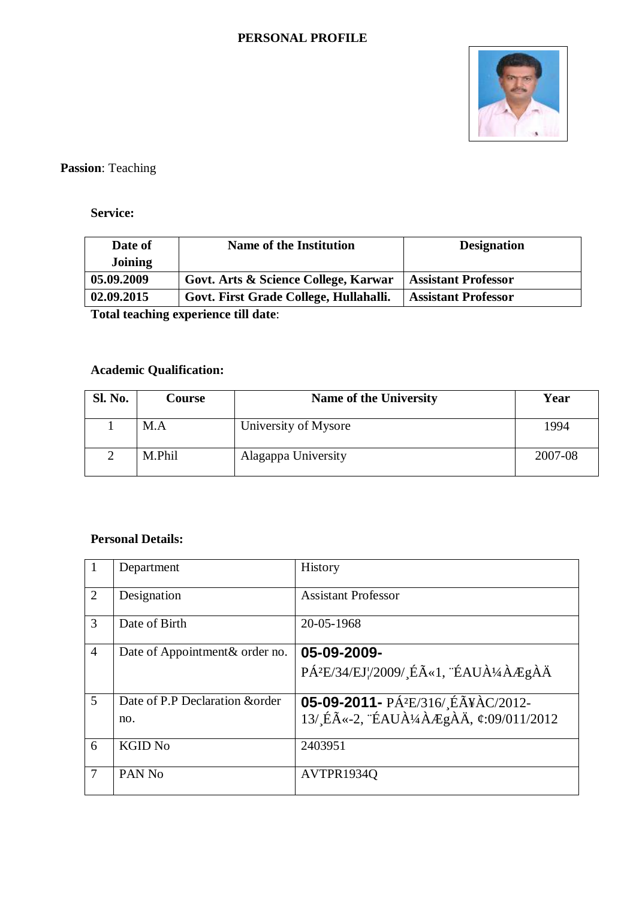#### **PERSONAL PROFILE**



**Passion**: Teaching

## **Service:**

| Date of    | <b>Name of the Institution</b>         | <b>Designation</b>         |
|------------|----------------------------------------|----------------------------|
| Joining    |                                        |                            |
| 05.09.2009 | Govt. Arts & Science College, Karwar   | <b>Assistant Professor</b> |
| 02.09.2015 | Govt. First Grade College, Hullahalli. | <b>Assistant Professor</b> |

**Total teaching experience till date**:

# **Academic Qualification:**

| <b>Sl. No.</b> | Course | Name of the University |         |
|----------------|--------|------------------------|---------|
|                | M.A    | University of Mysore   | 1994    |
|                | M.Phil | Alagappa University    | 2007-08 |

### **Personal Details:**

|                | Department                      | History                                        |
|----------------|---------------------------------|------------------------------------------------|
| $\overline{2}$ | Designation                     | <b>Assistant Professor</b>                     |
| 3              | Date of Birth                   | 20-05-1968                                     |
| $\overline{4}$ | Date of Appointment & order no. | 05-09-2009-                                    |
|                |                                 | PÁ <sup>2</sup> E/34/EJ¦/2009/Éë1, ÉAUÀ¼ÀÆgÀÄ  |
| $\overline{5}$ | Date of P.P Declaration & order | 05-09-2011- PÁ <sup>2</sup> E/316/ ÉÃ¥ÀC/2012- |
|                | no.                             | 13/ Éë-2, ÉAUÀ¼ÀÆgÀÄ, ¢:09/011/2012            |
| 6              | <b>KGID No</b>                  | 2403951                                        |
| $\overline{7}$ | PAN <sub>No</sub>               | AVTPR1934Q                                     |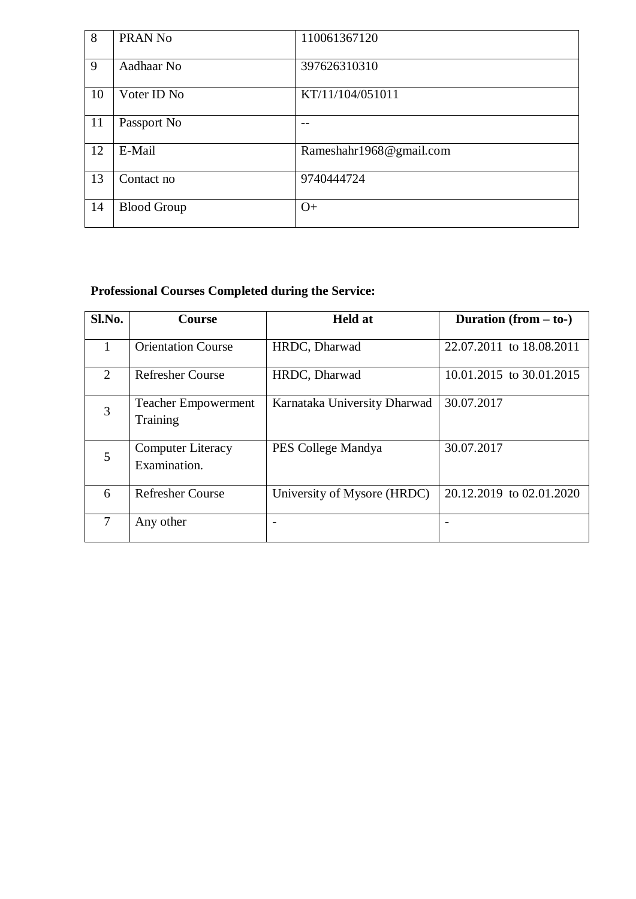| 8  | PRAN No            | 110061367120            |
|----|--------------------|-------------------------|
| 9  | Aadhaar No         | 397626310310            |
| 10 | Voter ID No        | KT/11/104/051011        |
| 11 | Passport No        |                         |
| 12 | E-Mail             | Rameshahr1968@gmail.com |
| 13 | Contact no         | 9740444724              |
| 14 | <b>Blood Group</b> | $O+$                    |

# **Professional Courses Completed during the Service:**

| Sl.No. | <b>Course</b>                            | <b>Held at</b>               | Duration $(from - to-)$  |
|--------|------------------------------------------|------------------------------|--------------------------|
| 1      | <b>Orientation Course</b>                | HRDC, Dharwad                | 22.07.2011 to 18.08.2011 |
| 2      | <b>Refresher Course</b>                  | HRDC, Dharwad                | 10.01.2015 to 30.01.2015 |
| 3      | <b>Teacher Empowerment</b><br>Training   | Karnataka University Dharwad | 30.07.2017               |
| 5      | <b>Computer Literacy</b><br>Examination. | PES College Mandya           | 30.07.2017               |
| 6      | <b>Refresher Course</b>                  | University of Mysore (HRDC)  | 20.12.2019 to 02.01.2020 |
| 7      | Any other                                |                              |                          |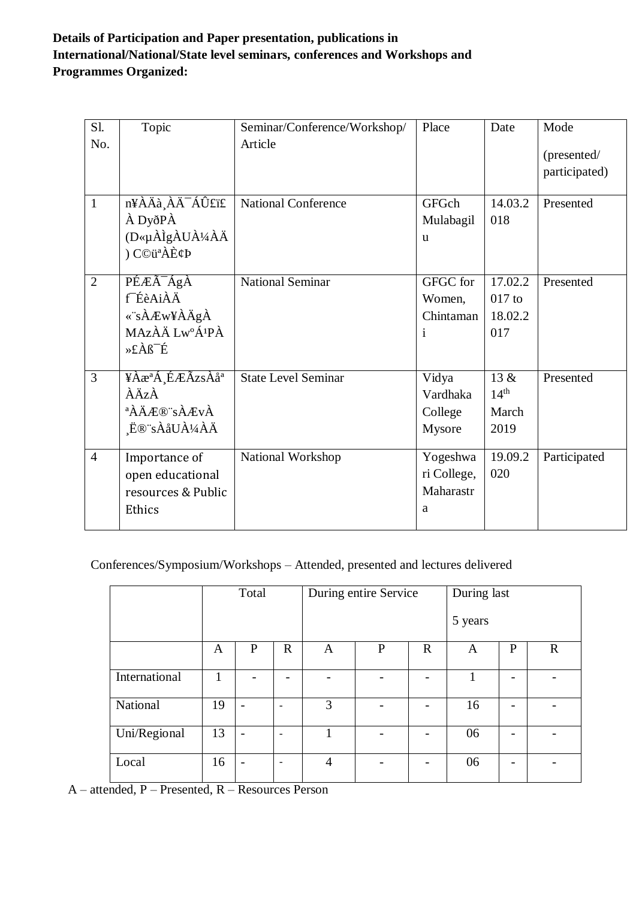## **Details of Participation and Paper presentation, publications in International/National/State level seminars, conferences and Workshops and Programmes Organized:**

| $S1$ .<br>No.  | Topic                       | Seminar/Conference/Workshop/<br>Article | Place        | Date             | Mode          |
|----------------|-----------------------------|-----------------------------------------|--------------|------------------|---------------|
|                |                             |                                         |              |                  | (presented/   |
|                |                             |                                         |              |                  | participated) |
| 1              | n¥ÀÄà ÀÄ <sup>-</sup> ÁÛ£ï£ | <b>National Conference</b>              | GFGch        | 14.03.2          | Presented     |
|                | À DyðPÀ                     |                                         | Mulabagil    | 018              |               |
|                | (D«µÀÌgÀUÀ¼ÀÄ               |                                         | <sub>u</sub> |                  |               |
|                | ) C©üªÀÈ¢Þ                  |                                         |              |                  |               |
| $\overline{2}$ | PÉÆÃ <sup>-</sup> ÁgÀ       | <b>National Seminar</b>                 | GFGC for     | 17.02.2          | Presented     |
|                | f <sup>-</sup> ÉèAiÀÄ       |                                         | Women,       | $017$ to         |               |
|                | «"sÀÆw¥ÀÄgÀ                 |                                         | Chintaman    | 18.02.2          |               |
|                | MAZÀÄ Lw°Á <sup>1</sup> PÀ  |                                         | i            | 017              |               |
|                | »£Àß <sup>-</sup> É         |                                         |              |                  |               |
| $\overline{3}$ | ¥ÀæªÁ ÉÆÃzsÀåª              | <b>State Level Seminar</b>              | Vidya        | 13 &             | Presented     |
|                | ÀÄzÀ                        |                                         | Vardhaka     | 14 <sup>th</sup> |               |
|                | <sup>a</sup> ÀÄÆ®¨sÀÆvÀ     |                                         | College      | March            |               |
|                | Ĕ®¨sÀåUÀ¼ÀÄ                 |                                         | Mysore       | 2019             |               |
| $\overline{4}$ | Importance of               | National Workshop                       | Yogeshwa     | 19.09.2          | Participated  |
|                | open educational            |                                         | ri College,  | 020              |               |
|                | resources & Public          |                                         | Maharastr    |                  |               |
|                | Ethics                      |                                         | a            |                  |               |
|                |                             |                                         |              |                  |               |

Conferences/Symposium/Workshops – Attended, presented and lectures delivered

|               | Total |                          |                          | During entire Service |              |                          | During last |              |             |
|---------------|-------|--------------------------|--------------------------|-----------------------|--------------|--------------------------|-------------|--------------|-------------|
|               |       |                          |                          |                       |              |                          | 5 years     |              |             |
|               | A     | $\mathbf{P}$             | $\mathbf R$              | A                     | $\mathbf{P}$ | $\mathbb{R}$             | A           | $\mathbf{P}$ | $\mathbf R$ |
| International |       |                          |                          |                       |              | $\overline{\phantom{0}}$ | 1           |              |             |
| National      | 19    | $\overline{\phantom{0}}$ | $\overline{\phantom{0}}$ | 3                     |              | $\overline{\phantom{a}}$ | 16          |              |             |
| Uni/Regional  | 13    | $\overline{\phantom{0}}$ | ۰                        |                       |              | $\overline{\phantom{a}}$ | 06          |              |             |
| Local         | 16    | $\overline{\phantom{0}}$ | $\overline{\phantom{0}}$ | $\overline{4}$        |              | $\overline{\phantom{0}}$ | 06          |              |             |

A – attended, P – Presented, R – Resources Person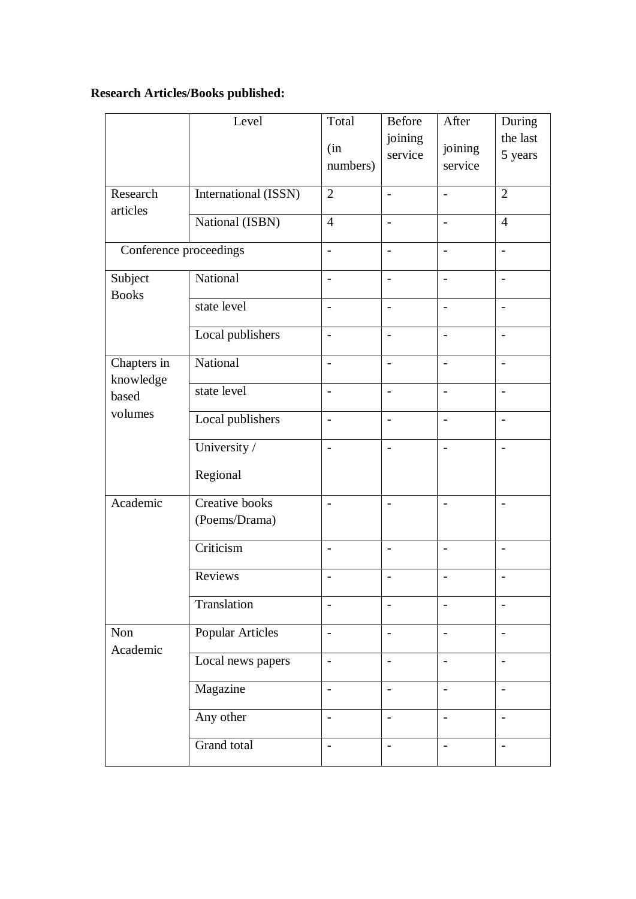# **Research Articles/Books published:**

|                          | Level                           | Total                    | Before                   | After                    | During                   |
|--------------------------|---------------------------------|--------------------------|--------------------------|--------------------------|--------------------------|
|                          |                                 | (in<br>numbers)          | joining<br>service       | joining<br>service       | the last<br>5 years      |
| Research<br>articles     | International (ISSN)            | $\overline{2}$           | $\overline{\phantom{a}}$ | $\overline{\phantom{0}}$ | $\overline{2}$           |
|                          | National (ISBN)                 | $\overline{4}$           | $\overline{\phantom{0}}$ | $\overline{a}$           | $\overline{4}$           |
| Conference proceedings   |                                 | $\overline{a}$           |                          | $\overline{a}$           | $\overline{a}$           |
| Subject<br><b>Books</b>  | National                        | $\overline{\phantom{0}}$ | $\overline{\phantom{a}}$ | $\overline{\phantom{0}}$ | $\qquad \qquad -$        |
|                          | state level                     | $\overline{a}$           | $\overline{\phantom{a}}$ | $\overline{\phantom{0}}$ | $\overline{\phantom{a}}$ |
|                          | Local publishers                | $\overline{\phantom{0}}$ | $\overline{\phantom{0}}$ | $\overline{\phantom{a}}$ | $\overline{\phantom{a}}$ |
| Chapters in<br>knowledge | National                        | $\overline{a}$           | $\overline{\phantom{0}}$ | $\overline{\phantom{0}}$ | $\overline{\phantom{a}}$ |
| based                    | state level                     | $\overline{a}$           | $\blacksquare$           | $\overline{a}$           | $\sim$                   |
| volumes                  | Local publishers                | $\overline{a}$           | $\overline{\phantom{a}}$ | $\overline{a}$           | $\frac{1}{2}$            |
|                          | University /                    | $\overline{a}$           | $\blacksquare$           | $\overline{a}$           | $\overline{a}$           |
|                          | Regional                        |                          |                          |                          |                          |
| Academic                 | Creative books<br>(Poems/Drama) | $\overline{a}$           | $\overline{a}$           | $\overline{\phantom{0}}$ | $\overline{a}$           |
|                          | Criticism                       | $\overline{\phantom{a}}$ | $\overline{\phantom{a}}$ | $\overline{\phantom{0}}$ | $\overline{\phantom{a}}$ |
|                          | Reviews                         | $\overline{a}$           | $\overline{\phantom{0}}$ |                          | $\overline{\phantom{a}}$ |
|                          | Translation                     |                          |                          |                          | $\overline{a}$           |
| Non<br>Academic          | Popular Articles                | $\overline{a}$           | $\overline{\phantom{a}}$ | $\overline{\phantom{a}}$ | $\overline{\phantom{a}}$ |
|                          | Local news papers               | $\overline{\phantom{0}}$ | $\overline{\phantom{a}}$ |                          | $\overline{\phantom{0}}$ |
|                          | Magazine                        | $\overline{\phantom{0}}$ | $\overline{\phantom{a}}$ | $\overline{\phantom{0}}$ | $\overline{\phantom{a}}$ |
|                          | Any other                       | $\overline{\phantom{0}}$ | $\overline{\phantom{a}}$ | $\overline{\phantom{0}}$ | $\overline{\phantom{a}}$ |
|                          | Grand total                     | $\overline{\phantom{0}}$ | $\overline{\phantom{0}}$ | $\overline{\phantom{a}}$ | $\overline{\phantom{0}}$ |